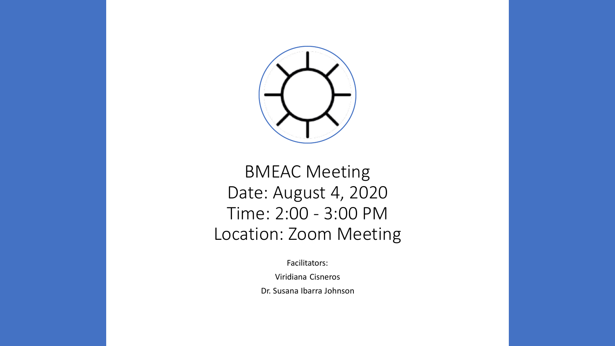

#### BMEAC Meeting Date: August 4, 2020 Time: 2:00 - 3:00 PM Location: Zoom Meeting

Facilitators:

Viridiana Cisneros

Dr. Susana Ibarra Johnson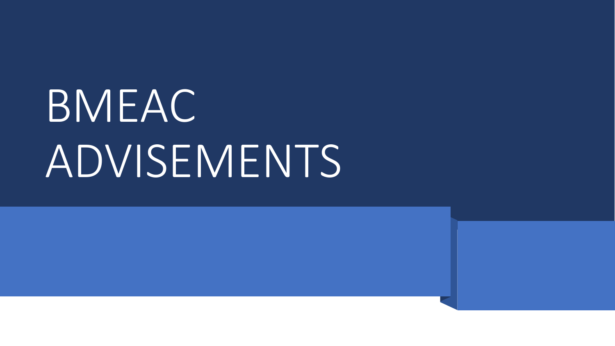# BMEAC ADVISEMENTS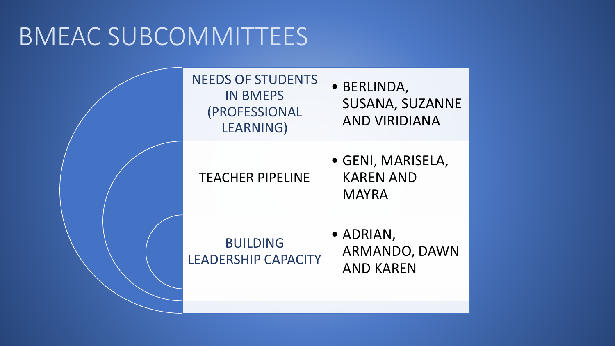## BMEAC SUBCOMMITTEES

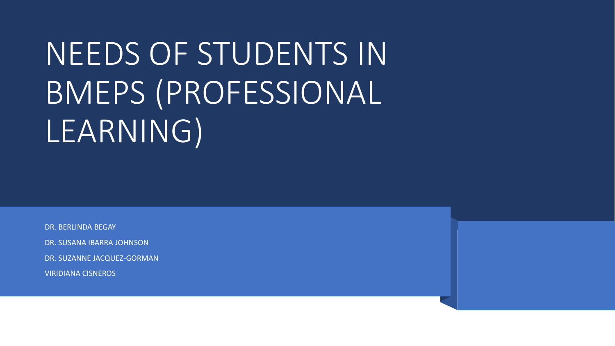## NEEDS OF STUDENTS IN BMEPS (PROFESSIONAL LEARNING)

DR. BERLINDA BEGAY

DR. SUSANA IBARRA JOHNSON

DR. SUZANNE JACQUEZ-GORMAN

VIRIDIANA CISNEROS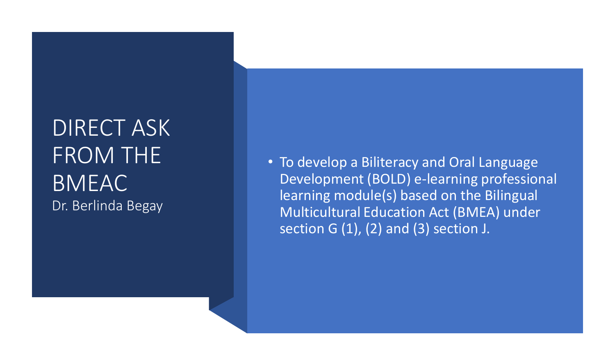### DIRECT ASK FROM THE BMEAC Dr. Berlinda Begay

• To develop a Biliteracy and Oral Language Development (BOLD) e -learning professional learning module(s) based on the Bilingual Multicultural Education Act (BMEA) under section G  $(1)$ ,  $(2)$  and  $(3)$  section J.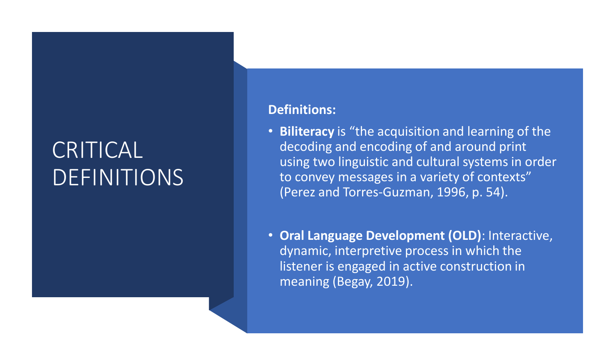## CRITICAL DEFINITIONS

#### **Definitions:**

- **Biliteracy** is "the acquisition and learning of the decoding and encoding of and around print using two linguistic and cultural systems in order to convey messages in a variety of contexts" (Perez and Torres-Guzman, 1996, p. 54).
- **Oral Language Development (OLD)**: Interactive, dynamic, interpretive process in which the listener is engaged in active construction in meaning (Begay, 2019).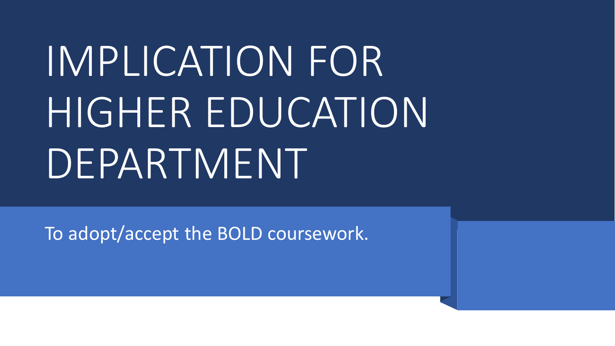# IMPLICATION FOR HIGHER EDUCATION DEPARTMENT

To adopt/accept the BOLD coursework.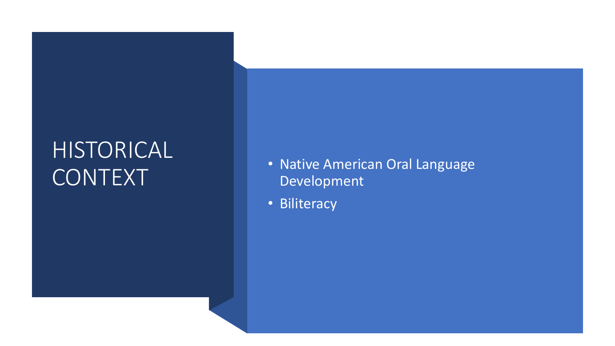### HISTORICAL CONTEXT

- Native American Oral Language Development
- Biliteracy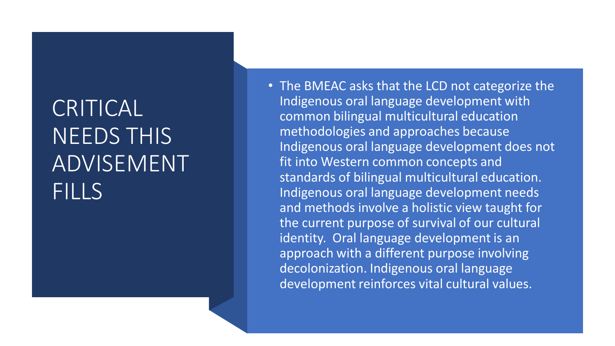## CRITICAL NEEDS THIS ADVISEMENT FILLS

• The BMEAC asks that the LCD not categorize the Indigenous oral language development with common bilingual multicultural education methodologies and approaches because Indigenous oral language development does not fit into Western common concepts and standards of bilingual multicultural education. Indigenous oral language development needs and methods involve a holistic view taught for the current purpose of survival of our cultural identity. Oral language development is an approach with a different purpose involving decolonization. Indigenous oral language development reinforces vital cultural values.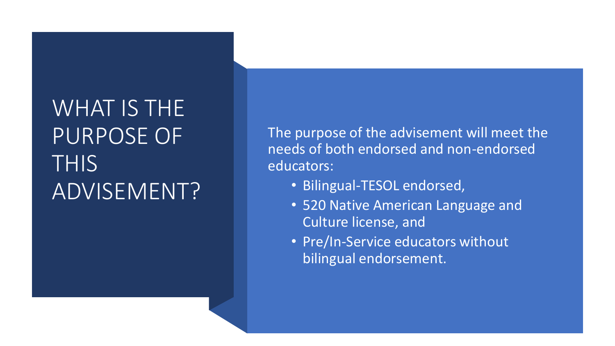## WHAT IS THE PURPOSE OF **THIS** ADVISEMENT?

The purpose of the advisement will meet the needs of both endorsed and non-endorsed educators:

- Bilingual-TESOL endorsed,
- 520 Native American Language and Culture license, and
- Pre/In-Service educators without bilingual endorsement.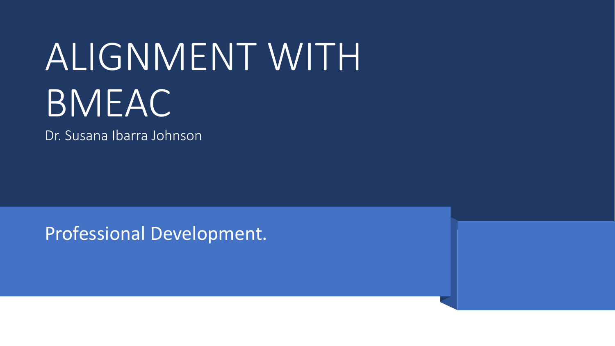## ALIGNMENT WITH BMEAC

Dr. Susana Ibarra Johnson

Professional Development.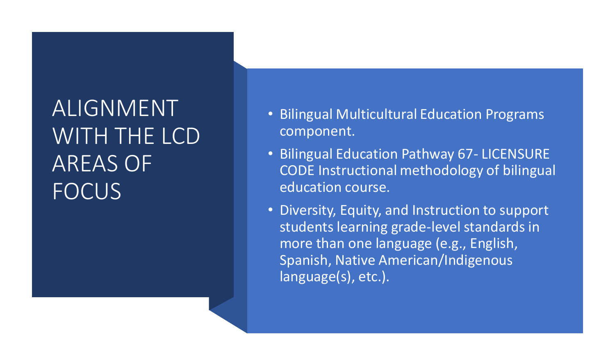## ALIGNMENT WITH THE LCD AREAS OF **FOCUS**

- Bilingual Multicultural Education Programs component.
- Bilingual Education Pathway 67- LICENSURE CODE Instructional methodology of bilingual education course.
- Diversity, Equity, and Instruction to support students learning grade-level standards in more than one language (e.g., English, Spanish, Native American/Indigenous language(s), etc.).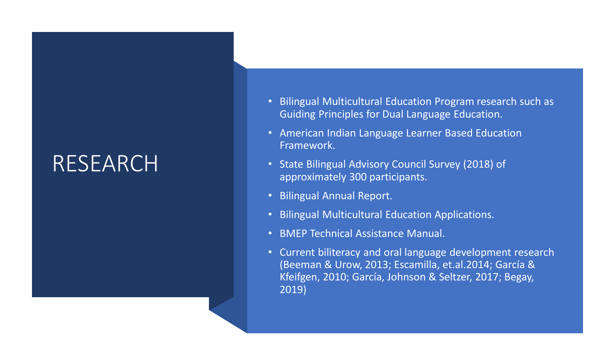#### RESEARCH

- Bilingual Multicultural Education Program research such as Guiding Principles for Dual Language Education.
- American Indian Language Learner Based Education Framework.
- State Bilingual Advisory Council Survey (2018) of approximately 300 participants.
- Bilingual Annual Report.
- Bilingual Multicultural Education Applications.
- BMEP Technical Assistance Manual.
- Current biliteracy and oral language development research (Beeman & Urow, 2013; Escamilla, et.al.2014; García & Kfeifgen, 2010; García, Johnson & Seltzer, 2017; Begay, 2019)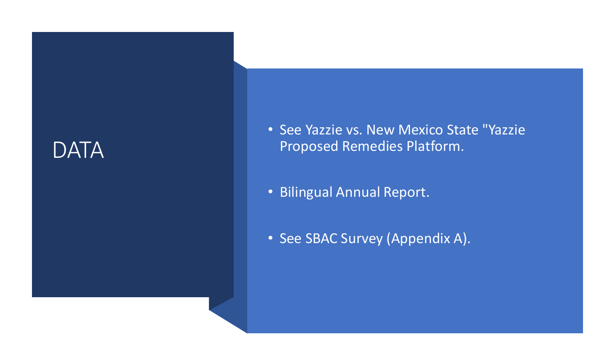#### DATA

- See Yazzie vs. New Mexico State "Yazzie Proposed Remedies Platform.
- Bilingual Annual Report.
- See SBAC Survey (Appendix A).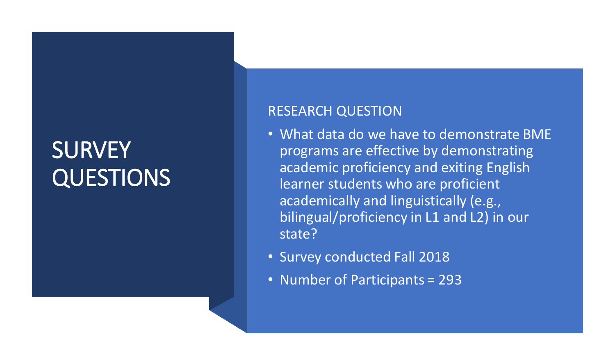## **SURVEY** QUESTIONS

#### RESEARCH QUESTION

- What data do we have to demonstrate BME programs are effective by demonstrating academic proficiency and exiting English learner students who are proficient academically and linguistically (e.g., bilingual/proficiency in L1 and L2) in our state?
- Survey conducted Fall 2018
- Number of Participants = 293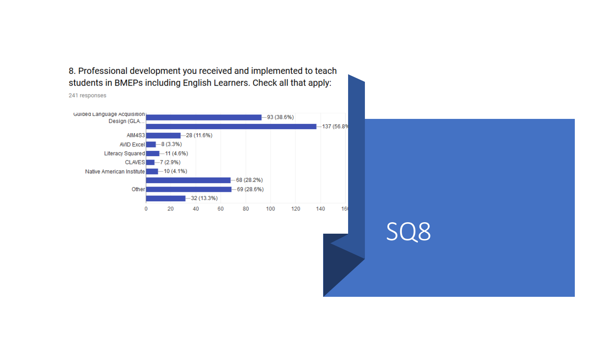8. Professional development you received and implemented to teach students in BMEPs including English Learners. Check all that apply:

241 responses



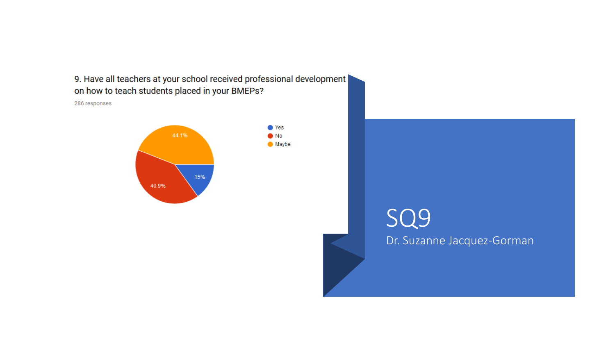9. Have all teachers at your school received professional development on how to teach students placed in your BMEPs?

286 responses



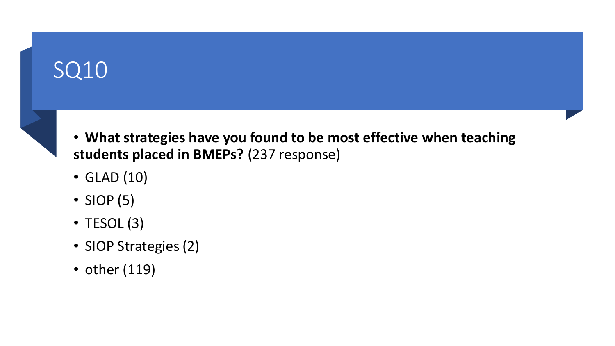## SQ10



- **What strategies have you found to be most effective when teaching students placed in BMEPs?** (237 response)
- GLAD (10)
- SIOP (5)
- TESOL (3)
- SIOP Strategies (2)
- other (119)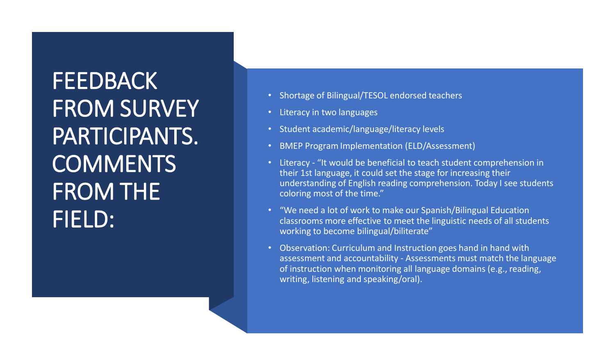**FEEDBACK** FROM SURVEY PARTICIPANTS. **COMMENTS** FROM THE FIELD:

- Shortage of Bilingual/TESOL endorsed teachers
- Literacy in two languages
- Student academic/language/literacy levels
- BMEP Program Implementation (ELD/Assessment)
- Literacy "It would be beneficial to teach student comprehension in their 1st language, it could set the stage for increasing their understanding of English reading comprehension. Today I see students coloring most of the time."
- "We need a lot of work to make our Spanish/Bilingual Education classrooms more effective to meet the linguistic needs of all students working to become bilingual/biliterate"
- Observation: Curriculum and Instruction goes hand in hand with assessment and accountability - Assessments must match the language of instruction when monitoring all language domains (e.g., reading, writing, listening and speaking/oral).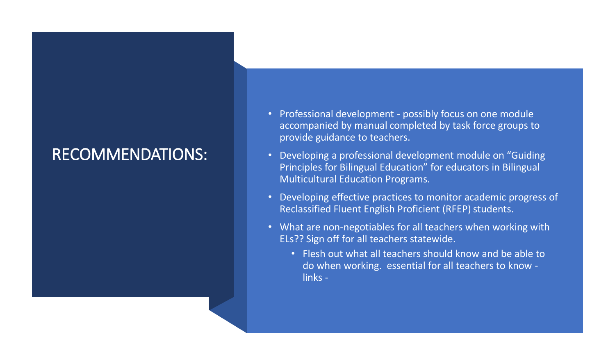#### RECOMMENDATIONS:

- Professional development possibly focus on one module accompanied by manual completed by task force groups to provide guidance to teachers.
- Developing a professional development module on "Guiding Principles for Bilingual Education" for educators in Bilingual Multicultural Education Programs.
- Developing effective practices to monitor academic progress of Reclassified Fluent English Proficient (RFEP) students.
- What are non-negotiables for all teachers when working with ELs?? Sign off for all teachers statewide.
	- Flesh out what all teachers should know and be able to do when working. essential for all teachers to know links -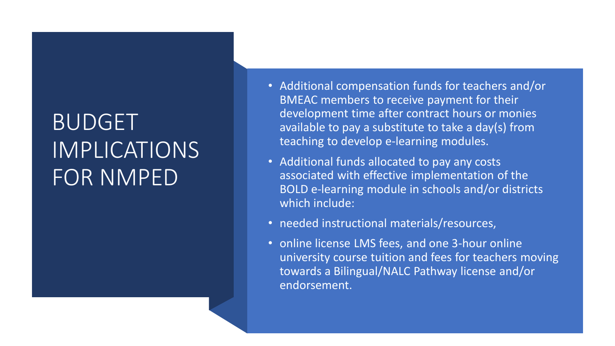## BUDGET IMPLICATIONS FOR NMPED

- Additional compensation funds for teachers and/or BMEAC members to receive payment for their development time after contract hours or monies available to pay a substitute to take a day(s) from teaching to develop e-learning modules.
- Additional funds allocated to pay any costs associated with effective implementation of the BOLD e-learning module in schools and/or districts which include:
- needed instructional materials/resources,
- online license LMS fees, and one 3-hour online university course tuition and fees for teachers moving towards a Bilingual/NALC Pathway license and/or endorsement.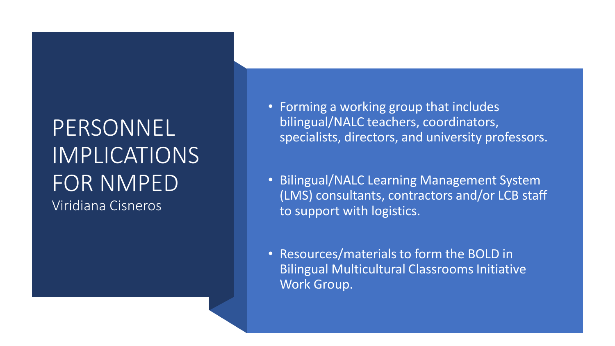### PERSONNEL IMPLICATIONS FOR NMPED Viridiana Cisneros

- Forming a working group that includes bilingual/NALC teachers, coordinators, specialists, directors, and university professors.
- Bilingual/NALC Learning Management System (LMS) consultants, contractors and/or LCB staff to support with logistics.
- Resources/materials to form the BOLD in Bilingual Multicultural Classrooms Initiative Work Group.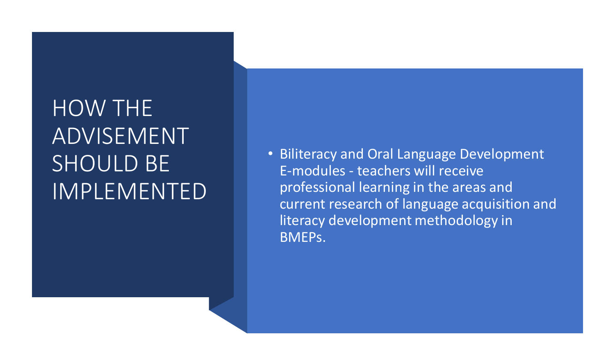## HOW THE ADVISEMENT SHOULD BE IMPLEMENTED

• Biliteracy and Oral Language Development E-modules - teachers will receive professional learning in the areas and current research of language acquisition and literacy development methodology in BMEPs.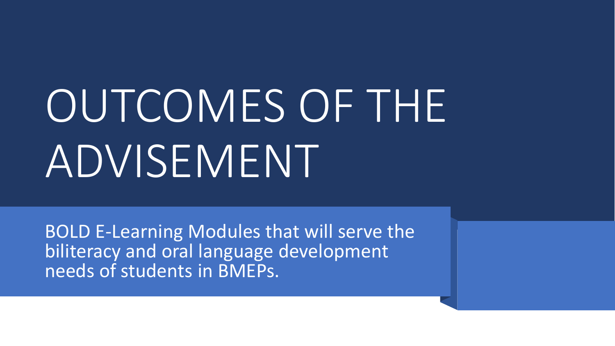# OUTCOMES OF THE ADVISEMENT

BOLD E-Learning Modules that will serve the biliteracy and oral language development needs of students in BMEPs.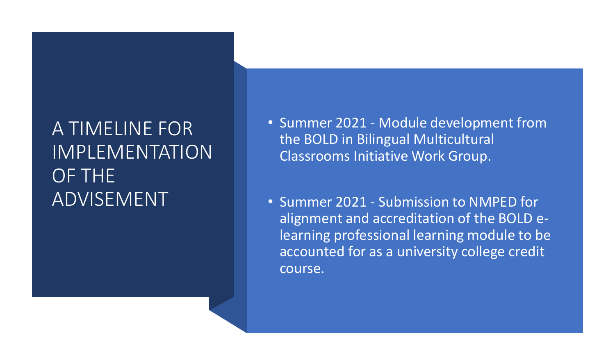### A TIMELINE FOR IMPLEMENTATION OF THE ADVISEMENT

- Summer 2021 Module development from the BOLD in Bilingual Multicultural Classrooms Initiative Work Group.
- Summer 2021 Submission to NMPED for alignment and accreditation of the BOLD elearning professional learning module to be accounted for as a university college credit course.